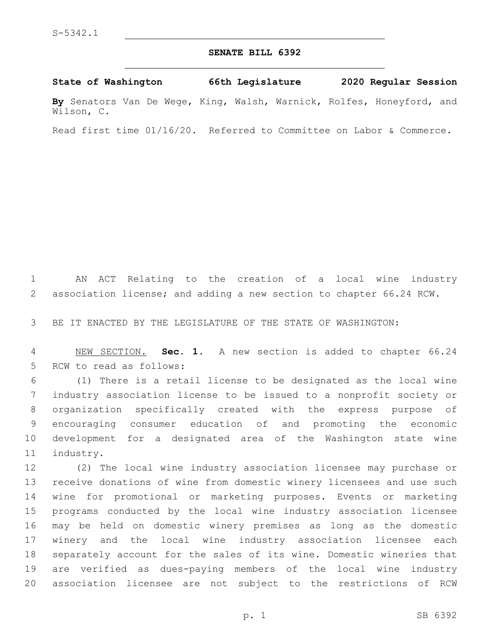## **SENATE BILL 6392**

**State of Washington 66th Legislature 2020 Regular Session**

**By** Senators Van De Wege, King, Walsh, Warnick, Rolfes, Honeyford, and Wilson, C.

Read first time 01/16/20. Referred to Committee on Labor & Commerce.

 AN ACT Relating to the creation of a local wine industry association license; and adding a new section to chapter 66.24 RCW.

BE IT ENACTED BY THE LEGISLATURE OF THE STATE OF WASHINGTON:

 NEW SECTION. **Sec. 1.** A new section is added to chapter 66.24 5 RCW to read as follows:

 (1) There is a retail license to be designated as the local wine industry association license to be issued to a nonprofit society or organization specifically created with the express purpose of encouraging consumer education of and promoting the economic development for a designated area of the Washington state wine 11 industry.

 (2) The local wine industry association licensee may purchase or receive donations of wine from domestic winery licensees and use such wine for promotional or marketing purposes. Events or marketing programs conducted by the local wine industry association licensee may be held on domestic winery premises as long as the domestic winery and the local wine industry association licensee each separately account for the sales of its wine. Domestic wineries that are verified as dues-paying members of the local wine industry association licensee are not subject to the restrictions of RCW